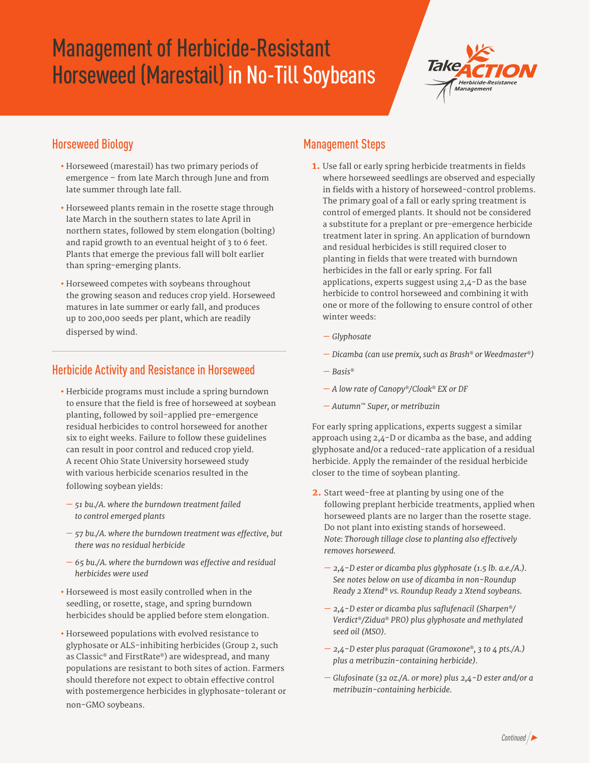# Management of Herbicide-Resistant Horseweed (Marestail) in No-Till Soybeans



## Horseweed Biology

- Horseweed (marestail) has two primary periods of emergence – from late March through June and from late summer through late fall.
- Horseweed plants remain in the rosette stage through late March in the southern states to late April in northern states, followed by stem elongation (bolting) and rapid growth to an eventual height of 3 to 6 feet. Plants that emerge the previous fall will bolt earlier than spring-emerging plants.
- Horseweed competes with soybeans throughout the growing season and reduces crop yield. Horseweed matures in late summer or early fall, and produces up to 200,000 seeds per plant, which are readily dispersed by wind.

### Herbicide Activity and Resistance in Horseweed

- Herbicide programs must include a spring burndown to ensure that the field is free of horseweed at soybean planting, followed by soil-applied pre-emergence residual herbicides to control horseweed for another six to eight weeks. Failure to follow these guidelines can result in poor control and reduced crop yield. A recent Ohio State University horseweed study with various herbicide scenarios resulted in the following soybean yields:
- *51 bu./A. where the burndown treatment failed to control emerged plants*
- *57 bu./A. where the burndown treatment was effective, but there was no residual herbicide*
- *65 bu./A. where the burndown was effective and residual herbicides were used*
- Horseweed is most easily controlled when in the seedling, or rosette, stage, and spring burndown herbicides should be applied before stem elongation.
- Horseweed populations with evolved resistance to glyphosate or ALS-inhibiting herbicides (Group 2, such as Classic*®* and FirstRate*®*) are widespread, and many populations are resistant to both sites of action. Farmers should therefore not expect to obtain effective control with postemergence herbicides in glyphosate-tolerant or non-GMO soybeans.

### Management Steps

- **1.** Use fall or early spring herbicide treatments in fields where horseweed seedlings are observed and especially in fields with a history of horseweed-control problems. The primary goal of a fall or early spring treatment is control of emerged plants. It should not be considered a substitute for a preplant or pre-emergence herbicide treatment later in spring. An application of burndown and residual herbicides is still required closer to planting in fields that were treated with burndown herbicides in the fall or early spring. For fall applications, experts suggest using 2,4-D as the base herbicide to control horseweed and combining it with one or more of the following to ensure control of other winter weeds:
	- *— Glyphosate*
	- *— Dicamba (can use premix, such as Brash® or Weedmaster®)*
	- *— Basis®*
	- *— A low rate of Canopy®/Cloak® EX or DF*
	- *— Autumn™ Super, or metribuzin*

For early spring applications, experts suggest a similar approach using 2,4-D or dicamba as the base, and adding glyphosate and/or a reduced-rate application of a residual herbicide. Apply the remainder of the residual herbicide closer to the time of soybean planting.

- **2.** Start weed-free at planting by using one of the following preplant herbicide treatments, applied when horseweed plants are no larger than the rosette stage. Do not plant into existing stands of horseweed. *Note: Thorough tillage close to planting also effectively removes horseweed.*
	- *2,4-D ester or dicamba plus glyphosate (1.5 lb. a.e./A.). See notes below on use of dicamba in non-Roundup Ready 2 Xtend® vs. Roundup Ready 2 Xtend soybeans.*
	- *2,4-D ester or dicamba plus saflufenacil (Sharpen®/ Verdict®/Zidua® PRO) plus glyphosate and methylated seed oil (MSO).*
	- *2,4-D ester plus paraquat (Gramoxone®, 3 to 4 pts./A.) plus a metribuzin-containing herbicide).*
	- *Glufosinate (32 oz./A. or more) plus 2,4-D ester and/or a metribuzin-containing herbicide.*